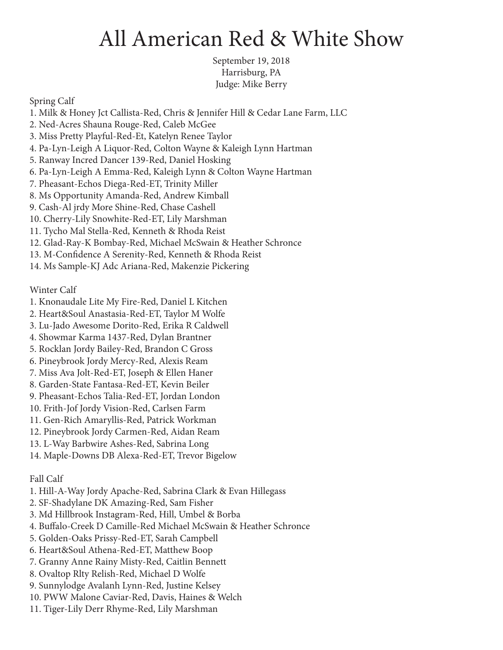## All American Red & White Show

September 19, 2018 Harrisburg, PA Judge: Mike Berry

Spring Calf

1. Milk & Honey Jct Callista-Red, Chris & Jennifer Hill & Cedar Lane Farm, LLC 2. Ned-Acres Shauna Rouge-Red, Caleb McGee 3. Miss Pretty Playful-Red-Et, Katelyn Renee Taylor 4. Pa-Lyn-Leigh A Liquor-Red, Colton Wayne & Kaleigh Lynn Hartman 5. Ranway Incred Dancer 139-Red, Daniel Hosking 6. Pa-Lyn-Leigh A Emma-Red, Kaleigh Lynn & Colton Wayne Hartman 7. Pheasant-Echos Diega-Red-ET, Trinity Miller 8. Ms Opportunity Amanda-Red, Andrew Kimball 9. Cash-Al jrdy More Shine-Red, Chase Cashell 10. Cherry-Lily Snowhite-Red-ET, Lily Marshman 11. Tycho Mal Stella-Red, Kenneth & Rhoda Reist 12. Glad-Ray-K Bombay-Red, Michael McSwain & Heather Schronce 13. M-Confidence A Serenity-Red, Kenneth & Rhoda Reist 14. Ms Sample-KJ Adc Ariana-Red, Makenzie Pickering

Winter Calf

- 1. Knonaudale Lite My Fire-Red, Daniel L Kitchen
- 2. Heart&Soul Anastasia-Red-ET, Taylor M Wolfe
- 3. Lu-Jado Awesome Dorito-Red, Erika R Caldwell
- 4. Showmar Karma 1437-Red, Dylan Brantner
- 5. Rocklan Jordy Bailey-Red, Brandon C Gross
- 6. Pineybrook Jordy Mercy-Red, Alexis Ream
- 7. Miss Ava Jolt-Red-ET, Joseph & Ellen Haner
- 8. Garden-State Fantasa-Red-ET, Kevin Beiler
- 9. Pheasant-Echos Talia-Red-ET, Jordan London
- 10. Frith-Jof Jordy Vision-Red, Carlsen Farm
- 11. Gen-Rich Amaryllis-Red, Patrick Workman
- 12. Pineybrook Jordy Carmen-Red, Aidan Ream
- 13. L-Way Barbwire Ashes-Red, Sabrina Long
- 14. Maple-Downs DB Alexa-Red-ET, Trevor Bigelow

## Fall Calf

- 1. Hill-A-Way Jordy Apache-Red, Sabrina Clark & Evan Hillegass
- 2. SF-Shadylane DK Amazing-Red, Sam Fisher
- 3. Md Hillbrook Instagram-Red, Hill, Umbel & Borba
- 4. Buffalo-Creek D Camille-Red Michael McSwain & Heather Schronce
- 5. Golden-Oaks Prissy-Red-ET, Sarah Campbell
- 6. Heart&Soul Athena-Red-ET, Matthew Boop
- 7. Granny Anne Rainy Misty-Red, Caitlin Bennett
- 8. Ovaltop Rlty Relish-Red, Michael D Wolfe
- 9. Sunnylodge Avalanh Lynn-Red, Justine Kelsey
- 10. PWW Malone Caviar-Red, Davis, Haines & Welch
- 11. Tiger-Lily Derr Rhyme-Red, Lily Marshman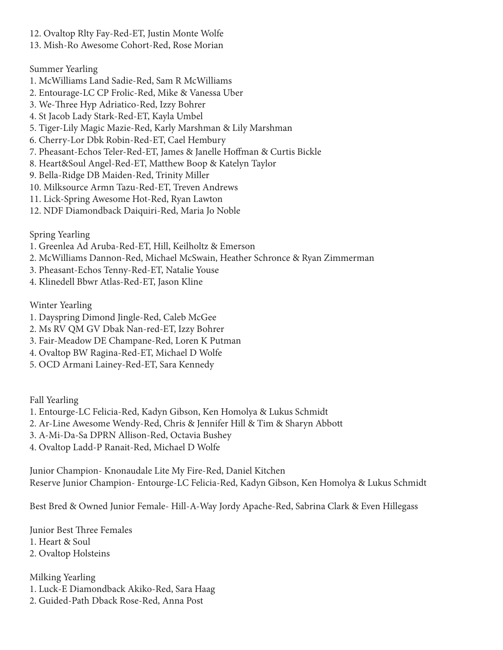- 12. Ovaltop Rlty Fay-Red-ET, Justin Monte Wolfe
- 13. Mish-Ro Awesome Cohort-Red, Rose Morian

## Summer Yearling

- 1. McWilliams Land Sadie-Red, Sam R McWilliams
- 2. Entourage-LC CP Frolic-Red, Mike & Vanessa Uber
- 3. We-Three Hyp Adriatico-Red, Izzy Bohrer
- 4. St Jacob Lady Stark-Red-ET, Kayla Umbel
- 5. Tiger-Lily Magic Mazie-Red, Karly Marshman & Lily Marshman
- 6. Cherry-Lor Dbk Robin-Red-ET, Cael Hembury
- 7. Pheasant-Echos Teler-Red-ET, James & Janelle Hoffman & Curtis Bickle
- 8. Heart&Soul Angel-Red-ET, Matthew Boop & Katelyn Taylor
- 9. Bella-Ridge DB Maiden-Red, Trinity Miller
- 10. Milksource Armn Tazu-Red-ET, Treven Andrews
- 11. Lick-Spring Awesome Hot-Red, Ryan Lawton
- 12. NDF Diamondback Daiquiri-Red, Maria Jo Noble

Spring Yearling

- 1. Greenlea Ad Aruba-Red-ET, Hill, Keilholtz & Emerson
- 2. McWilliams Dannon-Red, Michael McSwain, Heather Schronce & Ryan Zimmerman
- 3. Pheasant-Echos Tenny-Red-ET, Natalie Youse
- 4. Klinedell Bbwr Atlas-Red-ET, Jason Kline

Winter Yearling

- 1. Dayspring Dimond Jingle-Red, Caleb McGee
- 2. Ms RV QM GV Dbak Nan-red-ET, Izzy Bohrer
- 3. Fair-Meadow DE Champane-Red, Loren K Putman
- 4. Ovaltop BW Ragina-Red-ET, Michael D Wolfe
- 5. OCD Armani Lainey-Red-ET, Sara Kennedy

Fall Yearling

- 1. Entourge-LC Felicia-Red, Kadyn Gibson, Ken Homolya & Lukus Schmidt
- 2. Ar-Line Awesome Wendy-Red, Chris & Jennifer Hill & Tim & Sharyn Abbott
- 3. A-Mi-Da-Sa DPRN Allison-Red, Octavia Bushey
- 4. Ovaltop Ladd-P Ranait-Red, Michael D Wolfe

Junior Champion- Knonaudale Lite My Fire-Red, Daniel Kitchen Reserve Junior Champion- Entourge-LC Felicia-Red, Kadyn Gibson, Ken Homolya & Lukus Schmidt

Best Bred & Owned Junior Female- Hill-A-Way Jordy Apache-Red, Sabrina Clark & Even Hillegass

Junior Best Three Females 1. Heart & Soul 2. Ovaltop Holsteins

Milking Yearling 1. Luck-E Diamondback Akiko-Red, Sara Haag 2. Guided-Path Dback Rose-Red, Anna Post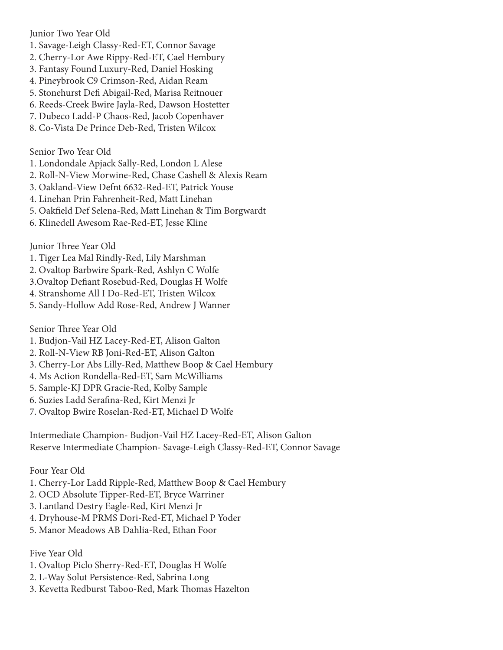Junior Two Year Old

- 1. Savage-Leigh Classy-Red-ET, Connor Savage
- 2. Cherry-Lor Awe Rippy-Red-ET, Cael Hembury
- 3. Fantasy Found Luxury-Red, Daniel Hosking
- 4. Pineybrook C9 Crimson-Red, Aidan Ream
- 5. Stonehurst Defi Abigail-Red, Marisa Reitnouer
- 6. Reeds-Creek Bwire Jayla-Red, Dawson Hostetter
- 7. Dubeco Ladd-P Chaos-Red, Jacob Copenhaver
- 8. Co-Vista De Prince Deb-Red, Tristen Wilcox

Senior Two Year Old

- 1. Londondale Apjack Sally-Red, London L Alese
- 2. Roll-N-View Morwine-Red, Chase Cashell & Alexis Ream
- 3. Oakland-View Defnt 6632-Red-ET, Patrick Youse
- 4. Linehan Prin Fahrenheit-Red, Matt Linehan
- 5. Oakfield Def Selena-Red, Matt Linehan & Tim Borgwardt
- 6. Klinedell Awesom Rae-Red-ET, Jesse Kline

Junior Three Year Old

- 1. Tiger Lea Mal Rindly-Red, Lily Marshman
- 2. Ovaltop Barbwire Spark-Red, Ashlyn C Wolfe
- 3.Ovaltop Defiant Rosebud-Red, Douglas H Wolfe
- 4. Stranshome All I Do-Red-ET, Tristen Wilcox
- 5. Sandy-Hollow Add Rose-Red, Andrew J Wanner

Senior Three Year Old

- 1. Budjon-Vail HZ Lacey-Red-ET, Alison Galton
- 2. Roll-N-View RB Joni-Red-ET, Alison Galton
- 3. Cherry-Lor Abs Lilly-Red, Matthew Boop & Cael Hembury
- 4. Ms Action Rondella-Red-ET, Sam McWilliams
- 5. Sample-KJ DPR Gracie-Red, Kolby Sample
- 6. Suzies Ladd Serafina-Red, Kirt Menzi Jr
- 7. Ovaltop Bwire Roselan-Red-ET, Michael D Wolfe

Intermediate Champion- Budjon-Vail HZ Lacey-Red-ET, Alison Galton Reserve Intermediate Champion- Savage-Leigh Classy-Red-ET, Connor Savage

Four Year Old

- 1. Cherry-Lor Ladd Ripple-Red, Matthew Boop & Cael Hembury
- 2. OCD Absolute Tipper-Red-ET, Bryce Warriner
- 3. Lantland Destry Eagle-Red, Kirt Menzi Jr
- 4. Dryhouse-M PRMS Dori-Red-ET, Michael P Yoder
- 5. Manor Meadows AB Dahlia-Red, Ethan Foor

Five Year Old

- 1. Ovaltop Piclo Sherry-Red-ET, Douglas H Wolfe
- 2. L-Way Solut Persistence-Red, Sabrina Long
- 3. Kevetta Redburst Taboo-Red, Mark Thomas Hazelton